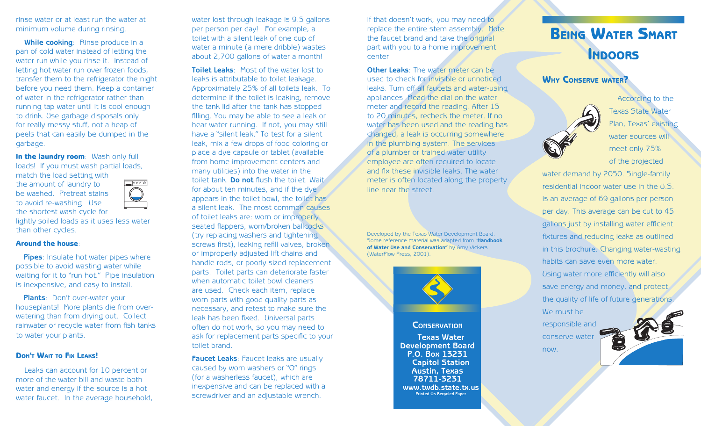rinse water or at least run the water at minimum volume during rinsing.

**While cooking: Rinse produce in a** pan of cold water instead of letting the water run while you rinse it. Instead of letting hot water run over frozen foods, transfer them to the refrigerator the night before you need them. Keep a container of water in the refrigerator rather than running tap water until it is cool enough to drink. Use garbage disposals only for really messy stuff, not a heap of peels that can easily be dumped in the garbage.

In the laundry room: Wash only full loads! If you must wash partial loads, match the load setting with the amount of laundry to

be washed. Pretreat stains to avoid re-washing. Use the shortest wash cycle for



lightly soiled loads as it uses less water than other cycles.

#### Around the house:

**Pipes**: Insulate hot water pipes where possible to avoid wasting water while waiting for it to "run hot." Pipe insulation is inexpensive, and easy to install.

**Plants**: Don't over-water your houseplants! More plants die from overwatering than from drying out. Collect rainwater or recycle water from fish tanks to water your plants.

# DON'T WAIT TO FIX LEAKS!

Leaks can account for 10 percent or more of the water bill and waste both water and energy if the source is a hot water faucet. In the average household,

water lost through leakage is 9.5 gallons per person per day! For example, a toilet with a silent leak of one cup of water a minute (a mere dribble) wastes about 2,700 gallons of water a month!

**Toilet Leaks**: Most of the water lost to leaks is attributable to toilet leakage. Approximately 25% of all toilets leak. To determine if the toilet is leaking, remove the tank lid after the tank has stopped filling. You may be able to see a leak or hear water running. If not, you may still have a "silent leak." To test for a silent leak, mix a few drops of food coloring or place a dye capsule or tablet (available from home improvement centers and many utilities) into the water in the toilet tank. **Do not** flush the toilet. Wait for about ten minutes, and if the dye appears in the toilet bowl, the toilet has a silent leak. The most common causes of toilet leaks are: worn or improperly seated flappers, worn/broken ballcocks (try replacing washers and tightening screws first), leaking refill valves, broken or improperly adjusted lift chains and handle rods, or poorly sized replacement parts. Toilet parts can deteriorate faster when automatic toilet bowl cleaners are used. Check each item, replace worn parts with good quality parts as necessary, and retest to make sure the leak has been fixed. Universal parts often do not work, so you may need to ask for replacement parts specific to your toilet brand.

**Faucet Leaks**: Faucet leaks are usually caused by worn washers or "O" rings (for a washerless faucet), which are inexpensive and can be replaced with a screwdriver and an adjustable wrench.

If that doesn't work, you may need to replace the entire stem assembly. Note the faucet brand and take the original part with you to a home improvement center.

**Other Leaks**: The water meter can be used to check for invisible or unnoticed leaks. Turn off all faucets and water-using appliances. Read the dial on the water meter and record the reading. After 15 to 20 minutes, recheck the meter. If no water has been used and the reading has changed, a leak is occurring somewhere in the plumbing system. The services of a plumber or trained water utility employee are often required to locate and fix these invisible leaks. The water meter is often located along the property line near the street.

Developed by the Texas Water Development Board. Some reference material was adapted from "**Handbook of Water Use and Conservation"** by Amy Vickers (WaterPlow Press, 2001).



# **CONSERVATION**

**Texas Water Development Board P.O. Box 13231 Capitol Station Austin, Texas 78711-3231 www.twdb.state.tx.us Printed On Recycled Paper**

# BEING WATER SMART **INDOORS**

# WHY CONSERVE WATER?



now.

According to the Texas State Water Plan, Texas' existing water sources will meet only 75% of the projected

water demand by 2050. Single-family residential indoor water use in the U.S. is an average of 69 gallons per person per day. This average can be cut to 45 gallons just by installing water efficient fixtures and reducing leaks as outlined in this brochure. Changing water-wasting habits can save even more water. Using water more efficiently will also save energy and money, and protect the quality of life of future generations We must be responsible and conserve water